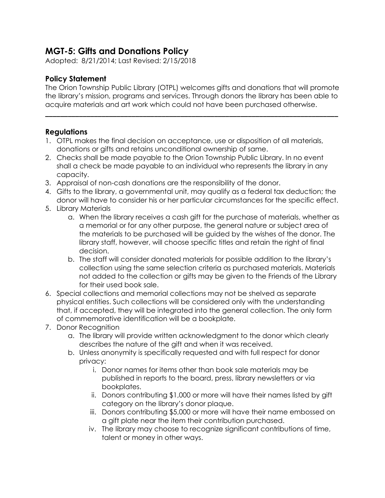## **MGT-5: Gifts and Donations Policy**

Adopted: 8/21/2014; Last Revised: 2/15/2018

## **Policy Statement**

The Orion Township Public Library (OTPL) welcomes gifts and donations that will promote the library's mission, programs and services. Through donors the library has been able to acquire materials and art work which could not have been purchased otherwise.

**\_\_\_\_\_\_\_\_\_\_\_\_\_\_\_\_\_\_\_\_\_\_\_\_\_\_\_\_\_\_\_\_\_\_\_\_\_\_\_\_\_\_\_\_\_\_\_\_\_\_\_\_\_\_\_\_\_\_\_\_\_\_\_\_\_\_\_\_\_\_\_\_\_\_\_\_\_\_**

## **Regulations**

- 1. OTPL makes the final decision on acceptance, use or disposition of all materials, donations or gifts and retains unconditional ownership of same.
- 2. Checks shall be made payable to the Orion Township Public Library. In no event shall a check be made payable to an individual who represents the library in any capacity.
- 3. Appraisal of non-cash donations are the responsibility of the donor.
- 4. Gifts to the library, a governmental unit, may qualify as a federal tax deduction; the donor will have to consider his or her particular circumstances for the specific effect.
- 5. Library Materials
	- a. When the library receives a cash gift for the purchase of materials, whether as a memorial or for any other purpose, the general nature or subject area of the materials to be purchased will be guided by the wishes of the donor. The library staff, however, will choose specific titles and retain the right of final decision.
	- b. The staff will consider donated materials for possible addition to the library's collection using the same selection criteria as purchased materials. Materials not added to the collection or gifts may be given to the Friends of the Library for their used book sale.
- 6. Special collections and memorial collections may not be shelved as separate physical entities. Such collections will be considered only with the understanding that, if accepted, they will be integrated into the general collection. The only form of commemorative identification will be a bookplate.
- 7. Donor Recognition
	- a. The library will provide written acknowledgment to the donor which clearly describes the nature of the gift and when it was received.
	- b. Unless anonymity is specifically requested and with full respect for donor privacy:
		- i. Donor names for items other than book sale materials may be published in reports to the board, press, library newsletters or via bookplates.
		- ii. Donors contributing \$1,000 or more will have their names listed by gift category on the library's donor plaque.
		- iii. Donors contributing \$5,000 or more will have their name embossed on a gift plate near the item their contribution purchased.
		- iv. The library may choose to recognize significant contributions of time, talent or money in other ways.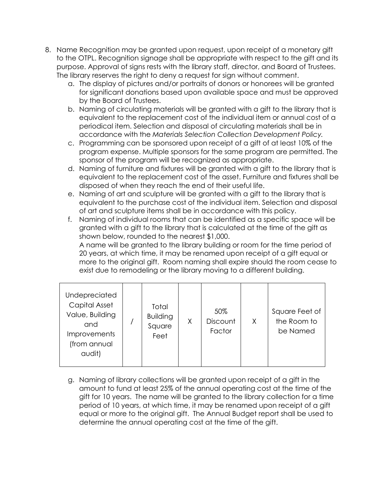- 8. Name Recognition may be granted upon request, upon receipt of a monetary gift to the OTPL. Recognition signage shall be appropriate with respect to the gift and its purpose. Approval of signs rests with the library staff, director, and Board of Trustees. The library reserves the right to deny a request for sign without comment.
	- a. The display of pictures and/or portraits of donors or honorees will be granted for significant donations based upon available space and must be approved by the Board of Trustees.
	- b. Naming of circulating materials will be granted with a gift to the library that is equivalent to the replacement cost of the individual item or annual cost of a periodical item. Selection and disposal of circulating materials shall be in accordance with the *Materials Selection Collection Development Policy.*
	- c. Programming can be sponsored upon receipt of a gift of at least 10% of the program expense. Multiple sponsors for the same program are permitted. The sponsor of the program will be recognized as appropriate.
	- d. Naming of furniture and fixtures will be granted with a gift to the library that is equivalent to the replacement cost of the asset. Furniture and fixtures shall be disposed of when they reach the end of their useful life.
	- e. Naming of art and sculpture will be granted with a gift to the library that is equivalent to the purchase cost of the individual item. Selection and disposal of art and sculpture items shall be in accordance with this policy.
	- f. Naming of individual rooms that can be identified as a specific space will be granted with a gift to the library that is calculated at the time of the gift as shown below, rounded to the nearest \$1,000.

A name will be granted to the library building or room for the time period of 20 years, at which time, it may be renamed upon receipt of a gift equal or more to the original gift. Room naming shall expire should the room cease to exist due to remodeling or the library moving to a different building.

| Undepreciated<br>Capital Asset<br>Value, Building<br>and<br><b>Improvements</b><br>(from annual<br>audit) |  | Total<br><b>Building</b><br>Square<br>Feet | X | 50%<br>Discount<br>Factor | X | Square Feet of<br>the Room to<br>be Named |
|-----------------------------------------------------------------------------------------------------------|--|--------------------------------------------|---|---------------------------|---|-------------------------------------------|
|-----------------------------------------------------------------------------------------------------------|--|--------------------------------------------|---|---------------------------|---|-------------------------------------------|

g. Naming of library collections will be granted upon receipt of a gift in the amount to fund at least 25% of the annual operating cost at the time of the gift for 10 years. The name will be granted to the library collection for a time period of 10 years, at which time, it may be renamed upon receipt of a gift equal or more to the original gift. The Annual Budget report shall be used to determine the annual operating cost at the time of the gift.